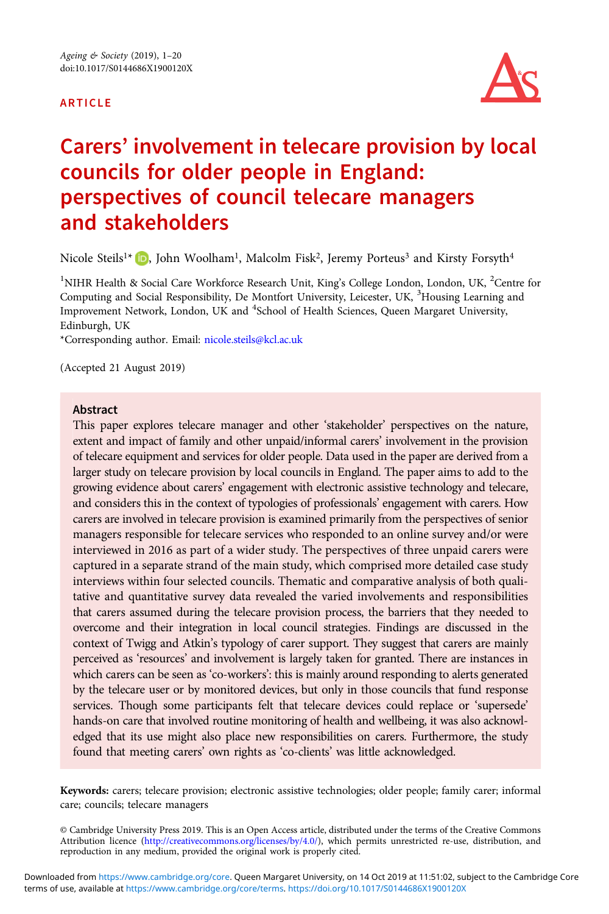#### ARTICLE



# Carers' involvement in telecare provision by local councils for older people in England: perspectives of council telecare managers and stakeholders

Nicole Steils<sup>1\*</sup>  $\Box$ , John Woolham<sup>1</sup>, Malcolm Fisk<sup>2</sup>, Jeremy Porteus<sup>3</sup> and Kirsty Forsyth<sup>4</sup>

<sup>1</sup>NIHR Health & Social Care Workforce Research Unit, King's College London, London, UK, <sup>2</sup>Centre for Computing and Social Responsibility, De Montfort University, Leicester, UK, <sup>3</sup>Housing Learning and Improvement Network, London, UK and <sup>4</sup>School of Health Sciences, Queen Margaret University, Edinburgh, UK

\*Corresponding author. Email: [nicole.steils@kcl.ac.uk](mailto:nicole.steils@kcl.ac.uk)

(Accepted 21 August 2019)

#### Abstract

This paper explores telecare manager and other 'stakeholder' perspectives on the nature, extent and impact of family and other unpaid/informal carers' involvement in the provision of telecare equipment and services for older people. Data used in the paper are derived from a larger study on telecare provision by local councils in England. The paper aims to add to the growing evidence about carers' engagement with electronic assistive technology and telecare, and considers this in the context of typologies of professionals' engagement with carers. How carers are involved in telecare provision is examined primarily from the perspectives of senior managers responsible for telecare services who responded to an online survey and/or were interviewed in 2016 as part of a wider study. The perspectives of three unpaid carers were captured in a separate strand of the main study, which comprised more detailed case study interviews within four selected councils. Thematic and comparative analysis of both qualitative and quantitative survey data revealed the varied involvements and responsibilities that carers assumed during the telecare provision process, the barriers that they needed to overcome and their integration in local council strategies. Findings are discussed in the context of Twigg and Atkin's typology of carer support. They suggest that carers are mainly perceived as 'resources' and involvement is largely taken for granted. There are instances in which carers can be seen as 'co-workers': this is mainly around responding to alerts generated by the telecare user or by monitored devices, but only in those councils that fund response services. Though some participants felt that telecare devices could replace or 'supersede' hands-on care that involved routine monitoring of health and wellbeing, it was also acknowledged that its use might also place new responsibilities on carers. Furthermore, the study found that meeting carers' own rights as 'co-clients' was little acknowledged.

Keywords: carers; telecare provision; electronic assistive technologies; older people; family carer; informal care; councils; telecare managers

© Cambridge University Press 2019. This is an Open Access article, distributed under the terms of the Creative Commons Attribution licence [\(http://creativecommons.org/licenses/by/4.0/\)](http://creativecommons.org/licenses/by/4.0/), which permits unrestricted re-use, distribution, and reproduction in any medium, provided the original work is properly cited.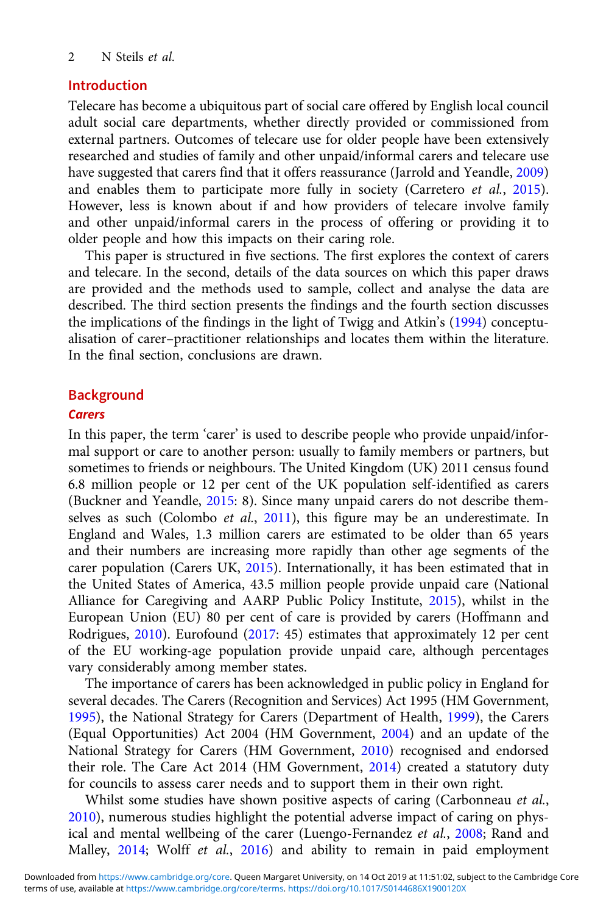# Introduction

Telecare has become a ubiquitous part of social care offered by English local council adult social care departments, whether directly provided or commissioned from external partners. Outcomes of telecare use for older people have been extensively researched and studies of family and other unpaid/informal carers and telecare use have suggested that carers find that it offers reassurance (Jarrold and Yeandle, [2009\)](#page-18-0) and enables them to participate more fully in society (Carretero et al., [2015\)](#page-17-0). However, less is known about if and how providers of telecare involve family and other unpaid/informal carers in the process of offering or providing it to older people and how this impacts on their caring role.

This paper is structured in five sections. The first explores the context of carers and telecare. In the second, details of the data sources on which this paper draws are provided and the methods used to sample, collect and analyse the data are described. The third section presents the findings and the fourth section discusses the implications of the findings in the light of Twigg and Atkin's [\(1994](#page-19-0)) conceptualisation of carer–practitioner relationships and locates them within the literature. In the final section, conclusions are drawn.

# **Background**

## **Carers**

In this paper, the term 'carer' is used to describe people who provide unpaid/informal support or care to another person: usually to family members or partners, but sometimes to friends or neighbours. The United Kingdom (UK) 2011 census found 6.8 million people or 12 per cent of the UK population self-identified as carers (Buckner and Yeandle, [2015:](#page-17-0) 8). Since many unpaid carers do not describe them-selves as such (Colombo et al., [2011](#page-17-0)), this figure may be an underestimate. In England and Wales, 1.3 million carers are estimated to be older than 65 years and their numbers are increasing more rapidly than other age segments of the carer population (Carers UK, [2015](#page-17-0)). Internationally, it has been estimated that in the United States of America, 43.5 million people provide unpaid care (National Alliance for Caregiving and AARP Public Policy Institute, [2015](#page-18-0)), whilst in the European Union (EU) 80 per cent of care is provided by carers (Hoffmann and Rodrigues, [2010\)](#page-18-0). Eurofound ([2017](#page-17-0): 45) estimates that approximately 12 per cent of the EU working-age population provide unpaid care, although percentages vary considerably among member states.

The importance of carers has been acknowledged in public policy in England for several decades. The Carers (Recognition and Services) Act 1995 (HM Government, [1995\)](#page-18-0), the National Strategy for Carers (Department of Health, [1999](#page-17-0)), the Carers (Equal Opportunities) Act 2004 (HM Government, [2004\)](#page-18-0) and an update of the National Strategy for Carers (HM Government, [2010](#page-18-0)) recognised and endorsed their role. The Care Act 2014 (HM Government, [2014\)](#page-18-0) created a statutory duty for councils to assess carer needs and to support them in their own right.

Whilst some studies have shown positive aspects of caring (Carbonneau et al., [2010\)](#page-17-0), numerous studies highlight the potential adverse impact of caring on physical and mental wellbeing of the carer (Luengo-Fernandez et al., [2008;](#page-18-0) Rand and Malley, [2014;](#page-18-0) Wolff et al., [2016\)](#page-19-0) and ability to remain in paid employment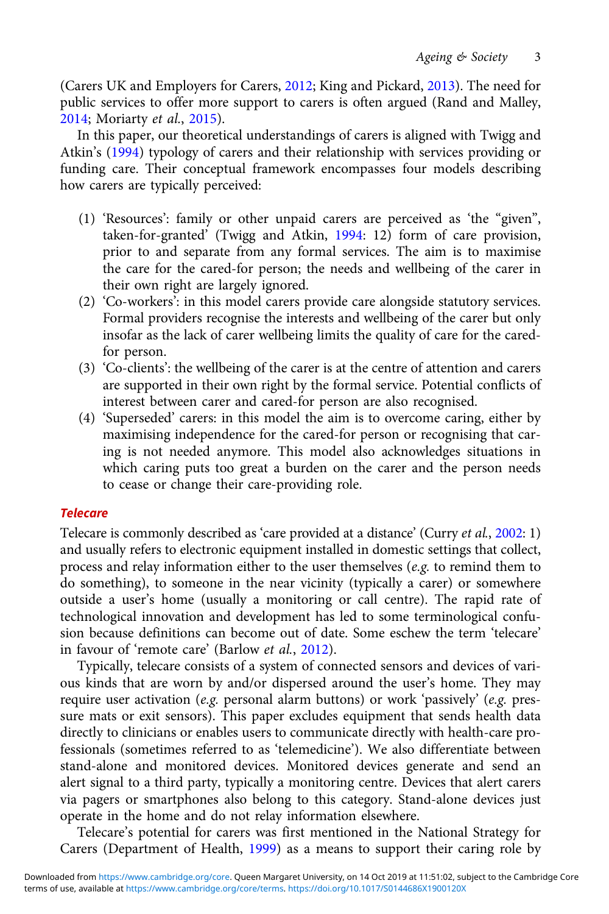(Carers UK and Employers for Carers, [2012](#page-17-0); King and Pickard, [2013\)](#page-18-0). The need for public services to offer more support to carers is often argued (Rand and Malley, [2014](#page-18-0); Moriarty et al., [2015](#page-18-0)).

In this paper, our theoretical understandings of carers is aligned with Twigg and Atkin's ([1994](#page-19-0)) typology of carers and their relationship with services providing or funding care. Their conceptual framework encompasses four models describing how carers are typically perceived:

- (1) 'Resources': family or other unpaid carers are perceived as 'the "given", taken-for-granted' (Twigg and Atkin, [1994:](#page-19-0) 12) form of care provision, prior to and separate from any formal services. The aim is to maximise the care for the cared-for person; the needs and wellbeing of the carer in their own right are largely ignored.
- (2) 'Co-workers': in this model carers provide care alongside statutory services. Formal providers recognise the interests and wellbeing of the carer but only insofar as the lack of carer wellbeing limits the quality of care for the caredfor person.
- (3) 'Co-clients': the wellbeing of the carer is at the centre of attention and carers are supported in their own right by the formal service. Potential conflicts of interest between carer and cared-for person are also recognised.
- (4) 'Superseded' carers: in this model the aim is to overcome caring, either by maximising independence for the cared-for person or recognising that caring is not needed anymore. This model also acknowledges situations in which caring puts too great a burden on the carer and the person needs to cease or change their care-providing role.

## **Telecare**

Telecare is commonly described as 'care provided at a distance' (Curry et al., [2002:](#page-17-0) 1) and usually refers to electronic equipment installed in domestic settings that collect, process and relay information either to the user themselves (e.g. to remind them to do something), to someone in the near vicinity (typically a carer) or somewhere outside a user's home (usually a monitoring or call centre). The rapid rate of technological innovation and development has led to some terminological confusion because definitions can become out of date. Some eschew the term 'telecare' in favour of 'remote care' (Barlow et al., [2012](#page-17-0)).

Typically, telecare consists of a system of connected sensors and devices of various kinds that are worn by and/or dispersed around the user's home. They may require user activation (e.g. personal alarm buttons) or work 'passively' (e.g. pressure mats or exit sensors). This paper excludes equipment that sends health data directly to clinicians or enables users to communicate directly with health-care professionals (sometimes referred to as 'telemedicine'). We also differentiate between stand-alone and monitored devices. Monitored devices generate and send an alert signal to a third party, typically a monitoring centre. Devices that alert carers via pagers or smartphones also belong to this category. Stand-alone devices just operate in the home and do not relay information elsewhere.

Telecare's potential for carers was first mentioned in the National Strategy for Carers (Department of Health, [1999](#page-17-0)) as a means to support their caring role by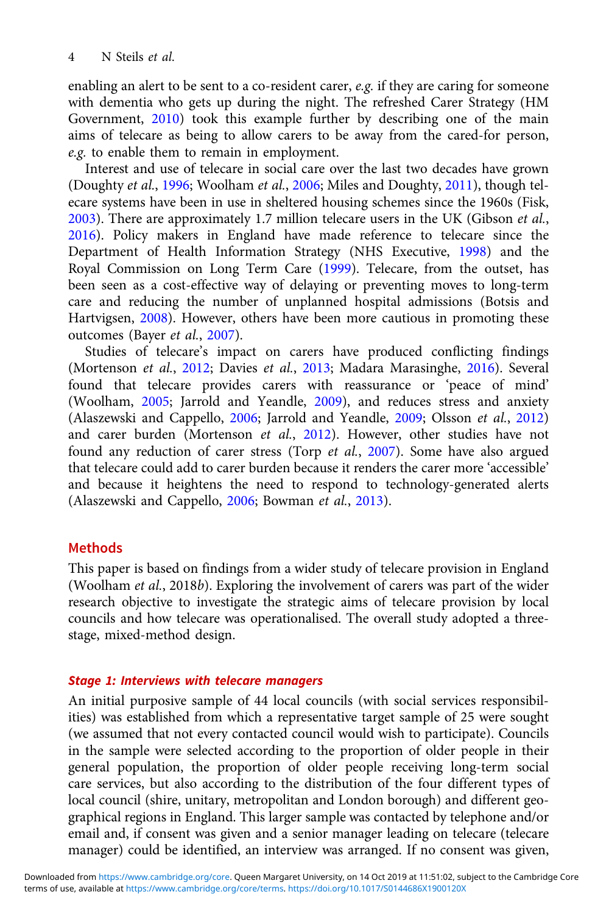enabling an alert to be sent to a co-resident carer, e.g. if they are caring for someone with dementia who gets up during the night. The refreshed Carer Strategy (HM Government, [2010\)](#page-18-0) took this example further by describing one of the main aims of telecare as being to allow carers to be away from the cared-for person, e.g. to enable them to remain in employment.

Interest and use of telecare in social care over the last two decades have grown (Doughty et al., [1996](#page-17-0); Woolham et al., [2006;](#page-19-0) Miles and Doughty, [2011\)](#page-18-0), though telecare systems have been in use in sheltered housing schemes since the 1960s (Fisk, [2003\)](#page-17-0). There are approximately 1.7 million telecare users in the UK (Gibson et al., [2016\)](#page-17-0). Policy makers in England have made reference to telecare since the Department of Health Information Strategy (NHS Executive, [1998](#page-18-0)) and the Royal Commission on Long Term Care ([1999\)](#page-18-0). Telecare, from the outset, has been seen as a cost-effective way of delaying or preventing moves to long-term care and reducing the number of unplanned hospital admissions (Botsis and Hartvigsen, [2008\)](#page-17-0). However, others have been more cautious in promoting these outcomes (Bayer et al., [2007](#page-17-0)).

Studies of telecare's impact on carers have produced conflicting findings (Mortenson et al., [2012;](#page-18-0) Davies et al., [2013;](#page-17-0) Madara Marasinghe, [2016\)](#page-18-0). Several found that telecare provides carers with reassurance or 'peace of mind' (Woolham, [2005;](#page-19-0) Jarrold and Yeandle, [2009](#page-18-0)), and reduces stress and anxiety (Alaszewski and Cappello, [2006](#page-17-0); Jarrold and Yeandle, [2009;](#page-18-0) Olsson et al., [2012\)](#page-18-0) and carer burden (Mortenson et al., [2012](#page-18-0)). However, other studies have not found any reduction of carer stress (Torp et al., [2007\)](#page-19-0). Some have also argued that telecare could add to carer burden because it renders the carer more 'accessible' and because it heightens the need to respond to technology-generated alerts (Alaszewski and Cappello, [2006](#page-17-0); Bowman et al., [2013](#page-17-0)).

# Methods

This paper is based on findings from a wider study of telecare provision in England (Woolham et al., 2018b). Exploring the involvement of carers was part of the wider research objective to investigate the strategic aims of telecare provision by local councils and how telecare was operationalised. The overall study adopted a threestage, mixed-method design.

## Stage 1: Interviews with telecare managers

An initial purposive sample of 44 local councils (with social services responsibilities) was established from which a representative target sample of 25 were sought (we assumed that not every contacted council would wish to participate). Councils in the sample were selected according to the proportion of older people in their general population, the proportion of older people receiving long-term social care services, but also according to the distribution of the four different types of local council (shire, unitary, metropolitan and London borough) and different geographical regions in England. This larger sample was contacted by telephone and/or email and, if consent was given and a senior manager leading on telecare (telecare manager) could be identified, an interview was arranged. If no consent was given,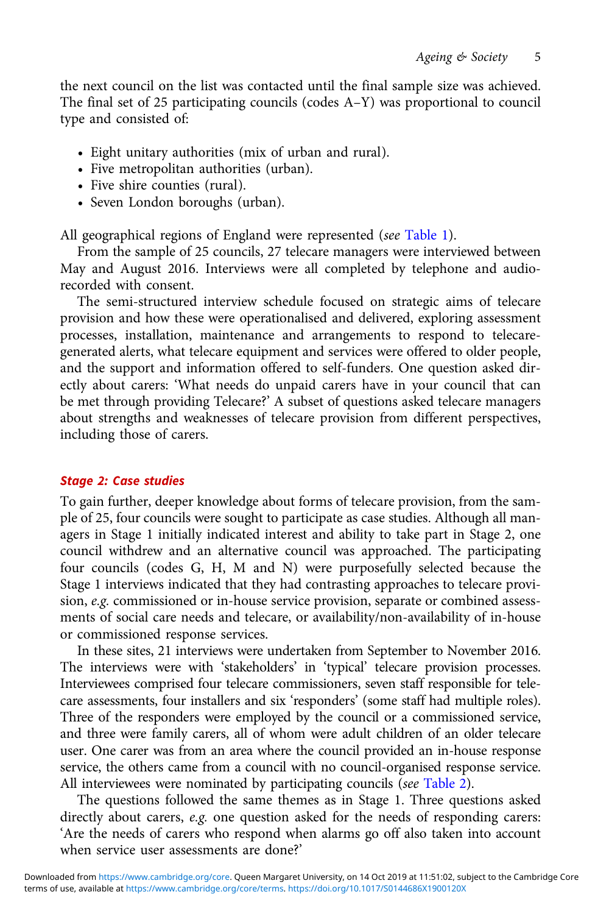the next council on the list was contacted until the final sample size was achieved. The final set of 25 participating councils (codes A–Y) was proportional to council type and consisted of:

- Eight unitary authorities (mix of urban and rural).
- Five metropolitan authorities (urban).
- Five shire counties (rural).
- Seven London boroughs (urban).

All geographical regions of England were represented (see [Table 1](#page-5-0)).

From the sample of 25 councils, 27 telecare managers were interviewed between May and August 2016. Interviews were all completed by telephone and audiorecorded with consent.

The semi-structured interview schedule focused on strategic aims of telecare provision and how these were operationalised and delivered, exploring assessment processes, installation, maintenance and arrangements to respond to telecaregenerated alerts, what telecare equipment and services were offered to older people, and the support and information offered to self-funders. One question asked directly about carers: 'What needs do unpaid carers have in your council that can be met through providing Telecare?' A subset of questions asked telecare managers about strengths and weaknesses of telecare provision from different perspectives, including those of carers.

#### Stage 2: Case studies

To gain further, deeper knowledge about forms of telecare provision, from the sample of 25, four councils were sought to participate as case studies. Although all managers in Stage 1 initially indicated interest and ability to take part in Stage 2, one council withdrew and an alternative council was approached. The participating four councils (codes G, H, M and N) were purposefully selected because the Stage 1 interviews indicated that they had contrasting approaches to telecare provision, e.g. commissioned or in-house service provision, separate or combined assessments of social care needs and telecare, or availability/non-availability of in-house or commissioned response services.

In these sites, 21 interviews were undertaken from September to November 2016. The interviews were with 'stakeholders' in 'typical' telecare provision processes. Interviewees comprised four telecare commissioners, seven staff responsible for telecare assessments, four installers and six 'responders' (some staff had multiple roles). Three of the responders were employed by the council or a commissioned service, and three were family carers, all of whom were adult children of an older telecare user. One carer was from an area where the council provided an in-house response service, the others came from a council with no council-organised response service. All interviewees were nominated by participating councils (see [Table 2\)](#page-6-0).

The questions followed the same themes as in Stage 1. Three questions asked directly about carers, e.g. one question asked for the needs of responding carers: 'Are the needs of carers who respond when alarms go off also taken into account when service user assessments are done?'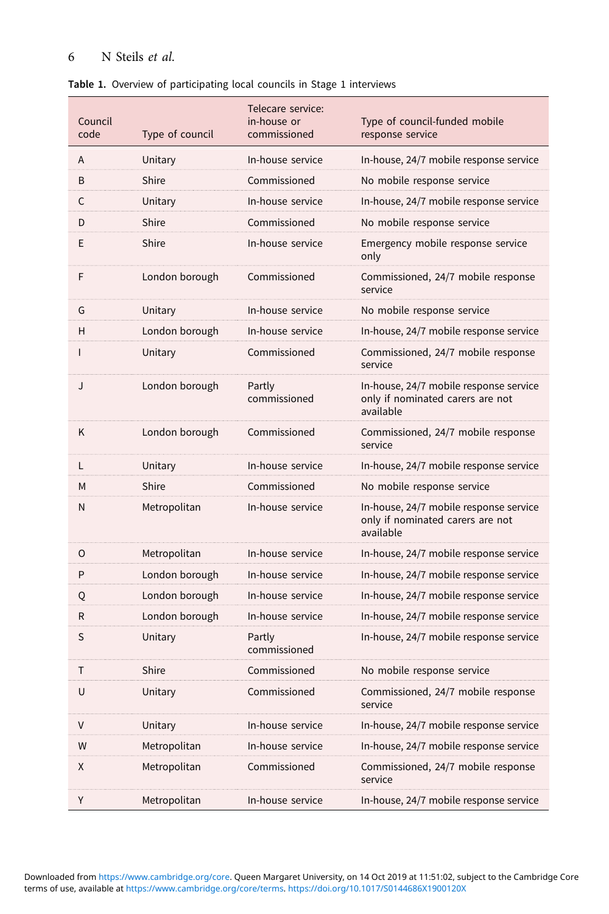# <span id="page-5-0"></span>6 N Steils et al.

|  |  | Table 1. Overview of participating local councils in Stage 1 interviews |  |  |  |  |  |
|--|--|-------------------------------------------------------------------------|--|--|--|--|--|
|--|--|-------------------------------------------------------------------------|--|--|--|--|--|

| Council<br>code | Type of council | Telecare service:<br>in-house or<br>commissioned | Type of council-funded mobile<br>response service                                       |
|-----------------|-----------------|--------------------------------------------------|-----------------------------------------------------------------------------------------|
| A               | Unitary         | In-house service                                 | In-house, 24/7 mobile response service                                                  |
| B               | Shire           | Commissioned                                     | No mobile response service                                                              |
| C               | Unitary         | In-house service                                 | In-house, 24/7 mobile response service                                                  |
| D               | Shire           | Commissioned                                     | No mobile response service                                                              |
| E               | Shire           | In-house service                                 | Emergency mobile response service<br>only                                               |
| F               | London borough  | Commissioned                                     | Commissioned, 24/7 mobile response<br>service                                           |
| G               | Unitary         | In-house service                                 | No mobile response service                                                              |
| Н               | London borough  | In-house service                                 | In-house, 24/7 mobile response service                                                  |
| L               | Unitary         | Commissioned                                     | Commissioned, 24/7 mobile response<br>service                                           |
| J               | London borough  | Partly<br>commissioned                           | In-house, 24/7 mobile response service<br>only if nominated carers are not<br>available |
| Κ               | London borough  | Commissioned                                     | Commissioned, 24/7 mobile response<br>service                                           |
| L               | Unitary         | In-house service                                 | In-house, 24/7 mobile response service                                                  |
| M               | Shire           | Commissioned                                     | No mobile response service                                                              |
| N               | Metropolitan    | In-house service                                 | In-house, 24/7 mobile response service<br>only if nominated carers are not<br>available |
| O               | Metropolitan    | In-house service                                 | In-house, 24/7 mobile response service                                                  |
| P               | London borough  | In-house service                                 | In-house, 24/7 mobile response service                                                  |
| Q               | London borough  | In-house service                                 | In-house, 24/7 mobile response service                                                  |
| R               | London borough  | In-house service                                 | In-house, 24/7 mobile response service                                                  |
| S               | Unitary         | Partly<br>commissioned                           | In-house, 24/7 mobile response service                                                  |
| T               | Shire           | Commissioned                                     | No mobile response service                                                              |
| U               | Unitary         | Commissioned                                     | Commissioned, 24/7 mobile response<br>service                                           |
| V               | Unitary         | In-house service                                 | In-house, 24/7 mobile response service                                                  |
| W               | Metropolitan    | In-house service                                 | In-house, 24/7 mobile response service                                                  |
| X               | Metropolitan    | Commissioned                                     | Commissioned, 24/7 mobile response<br>service                                           |
| Y               | Metropolitan    | In-house service                                 | In-house, 24/7 mobile response service                                                  |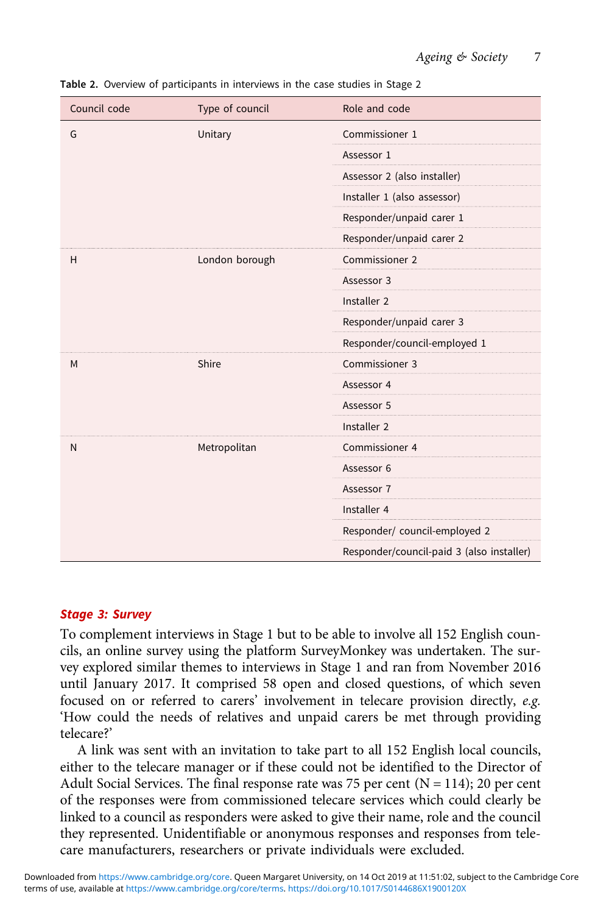| Council code | Type of council | Role and code                             |  |
|--------------|-----------------|-------------------------------------------|--|
| G            | Unitary         | Commissioner 1                            |  |
|              |                 | Assessor 1                                |  |
|              |                 | Assessor 2 (also installer)               |  |
|              |                 | Installer 1 (also assessor)               |  |
|              |                 | Responder/unpaid carer 1                  |  |
|              |                 | Responder/unpaid carer 2                  |  |
| H            | London borough  | Commissioner 2                            |  |
|              |                 | Assessor 3                                |  |
|              |                 | Installer 2                               |  |
|              |                 | Responder/unpaid carer 3                  |  |
|              |                 | Responder/council-employed 1              |  |
| M            | Shire           | Commissioner 3                            |  |
|              |                 | Assessor 4                                |  |
|              |                 | Assessor 5                                |  |
|              |                 | Installer 2                               |  |
| N            | Metropolitan    | Commissioner 4                            |  |
|              |                 | Assessor 6                                |  |
|              |                 | Assessor 7                                |  |
|              |                 | Installer 4                               |  |
|              |                 | Responder/ council-employed 2             |  |
|              |                 | Responder/council-paid 3 (also installer) |  |

<span id="page-6-0"></span>Table 2. Overview of participants in interviews in the case studies in Stage 2

### Stage 3: Survey

To complement interviews in Stage 1 but to be able to involve all 152 English councils, an online survey using the platform SurveyMonkey was undertaken. The survey explored similar themes to interviews in Stage 1 and ran from November 2016 until January 2017. It comprised 58 open and closed questions, of which seven focused on or referred to carers' involvement in telecare provision directly, e.g. 'How could the needs of relatives and unpaid carers be met through providing telecare?'

A link was sent with an invitation to take part to all 152 English local councils, either to the telecare manager or if these could not be identified to the Director of Adult Social Services. The final response rate was 75 per cent ( $N = 114$ ); 20 per cent of the responses were from commissioned telecare services which could clearly be linked to a council as responders were asked to give their name, role and the council they represented. Unidentifiable or anonymous responses and responses from telecare manufacturers, researchers or private individuals were excluded.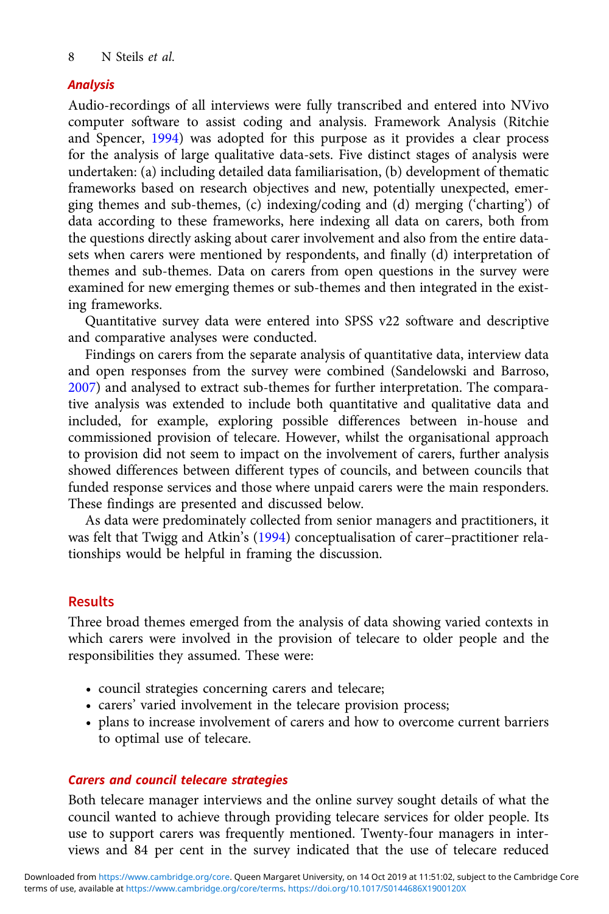### Analysis

Audio-recordings of all interviews were fully transcribed and entered into NVivo computer software to assist coding and analysis. Framework Analysis (Ritchie and Spencer, [1994\)](#page-18-0) was adopted for this purpose as it provides a clear process for the analysis of large qualitative data-sets. Five distinct stages of analysis were undertaken: (a) including detailed data familiarisation, (b) development of thematic frameworks based on research objectives and new, potentially unexpected, emerging themes and sub-themes, (c) indexing/coding and (d) merging ('charting') of data according to these frameworks, here indexing all data on carers, both from the questions directly asking about carer involvement and also from the entire datasets when carers were mentioned by respondents, and finally (d) interpretation of themes and sub-themes. Data on carers from open questions in the survey were examined for new emerging themes or sub-themes and then integrated in the existing frameworks.

Quantitative survey data were entered into SPSS v22 software and descriptive and comparative analyses were conducted.

Findings on carers from the separate analysis of quantitative data, interview data and open responses from the survey were combined (Sandelowski and Barroso, [2007\)](#page-18-0) and analysed to extract sub-themes for further interpretation. The comparative analysis was extended to include both quantitative and qualitative data and included, for example, exploring possible differences between in-house and commissioned provision of telecare. However, whilst the organisational approach to provision did not seem to impact on the involvement of carers, further analysis showed differences between different types of councils, and between councils that funded response services and those where unpaid carers were the main responders. These findings are presented and discussed below.

As data were predominately collected from senior managers and practitioners, it was felt that Twigg and Atkin's [\(1994](#page-19-0)) conceptualisation of carer–practitioner relationships would be helpful in framing the discussion.

## Results

Three broad themes emerged from the analysis of data showing varied contexts in which carers were involved in the provision of telecare to older people and the responsibilities they assumed. These were:

- council strategies concerning carers and telecare;
- carers' varied involvement in the telecare provision process;
- plans to increase involvement of carers and how to overcome current barriers to optimal use of telecare.

#### Carers and council telecare strategies

Both telecare manager interviews and the online survey sought details of what the council wanted to achieve through providing telecare services for older people. Its use to support carers was frequently mentioned. Twenty-four managers in interviews and 84 per cent in the survey indicated that the use of telecare reduced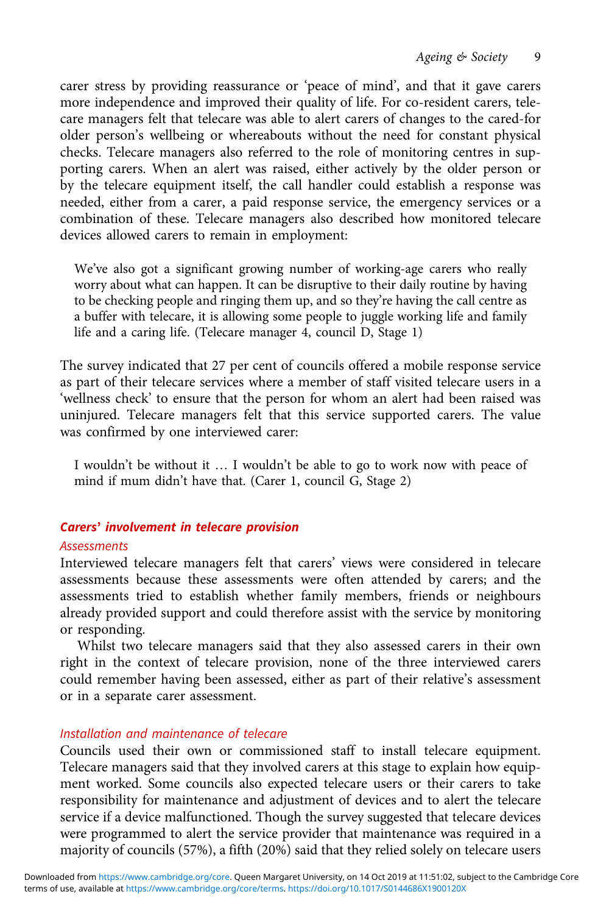carer stress by providing reassurance or 'peace of mind', and that it gave carers more independence and improved their quality of life. For co-resident carers, telecare managers felt that telecare was able to alert carers of changes to the cared-for older person's wellbeing or whereabouts without the need for constant physical checks. Telecare managers also referred to the role of monitoring centres in supporting carers. When an alert was raised, either actively by the older person or by the telecare equipment itself, the call handler could establish a response was needed, either from a carer, a paid response service, the emergency services or a combination of these. Telecare managers also described how monitored telecare devices allowed carers to remain in employment:

We've also got a significant growing number of working-age carers who really worry about what can happen. It can be disruptive to their daily routine by having to be checking people and ringing them up, and so they're having the call centre as a buffer with telecare, it is allowing some people to juggle working life and family life and a caring life. (Telecare manager 4, council D, Stage 1)

The survey indicated that 27 per cent of councils offered a mobile response service as part of their telecare services where a member of staff visited telecare users in a 'wellness check' to ensure that the person for whom an alert had been raised was uninjured. Telecare managers felt that this service supported carers. The value was confirmed by one interviewed carer:

I wouldn't be without it … I wouldn't be able to go to work now with peace of mind if mum didn't have that. (Carer 1, council G, Stage 2)

# Carers' involvement in telecare provision

#### **Assessments**

Interviewed telecare managers felt that carers' views were considered in telecare assessments because these assessments were often attended by carers; and the assessments tried to establish whether family members, friends or neighbours already provided support and could therefore assist with the service by monitoring or responding.

Whilst two telecare managers said that they also assessed carers in their own right in the context of telecare provision, none of the three interviewed carers could remember having been assessed, either as part of their relative's assessment or in a separate carer assessment.

## Installation and maintenance of telecare

Councils used their own or commissioned staff to install telecare equipment. Telecare managers said that they involved carers at this stage to explain how equipment worked. Some councils also expected telecare users or their carers to take responsibility for maintenance and adjustment of devices and to alert the telecare service if a device malfunctioned. Though the survey suggested that telecare devices were programmed to alert the service provider that maintenance was required in a majority of councils (57%), a fifth (20%) said that they relied solely on telecare users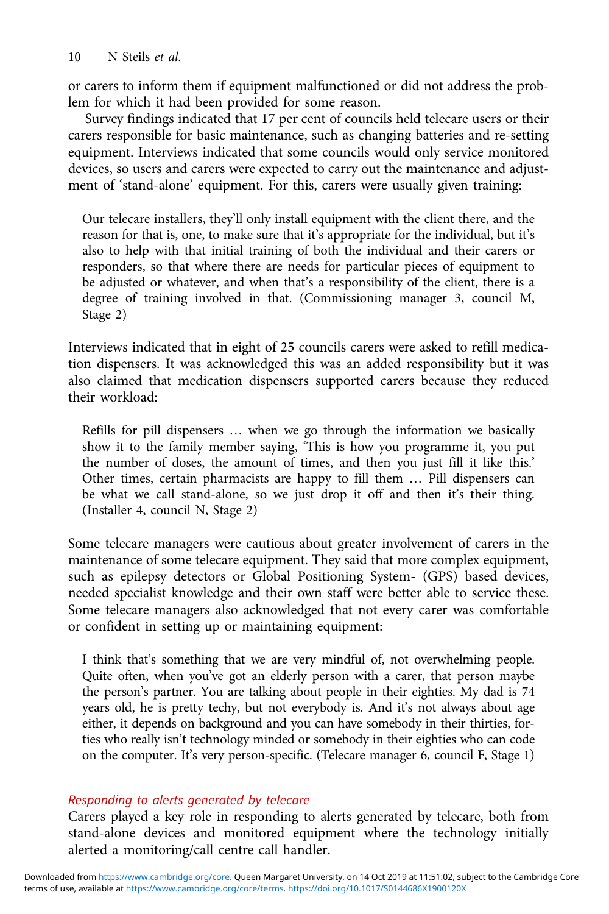or carers to inform them if equipment malfunctioned or did not address the problem for which it had been provided for some reason.

Survey findings indicated that 17 per cent of councils held telecare users or their carers responsible for basic maintenance, such as changing batteries and re-setting equipment. Interviews indicated that some councils would only service monitored devices, so users and carers were expected to carry out the maintenance and adjustment of 'stand-alone' equipment. For this, carers were usually given training:

Our telecare installers, they'll only install equipment with the client there, and the reason for that is, one, to make sure that it's appropriate for the individual, but it's also to help with that initial training of both the individual and their carers or responders, so that where there are needs for particular pieces of equipment to be adjusted or whatever, and when that's a responsibility of the client, there is a degree of training involved in that. (Commissioning manager 3, council M, Stage 2)

Interviews indicated that in eight of 25 councils carers were asked to refill medication dispensers. It was acknowledged this was an added responsibility but it was also claimed that medication dispensers supported carers because they reduced their workload:

Refills for pill dispensers … when we go through the information we basically show it to the family member saying, 'This is how you programme it, you put the number of doses, the amount of times, and then you just fill it like this.' Other times, certain pharmacists are happy to fill them … Pill dispensers can be what we call stand-alone, so we just drop it off and then it's their thing. (Installer 4, council N, Stage 2)

Some telecare managers were cautious about greater involvement of carers in the maintenance of some telecare equipment. They said that more complex equipment, such as epilepsy detectors or Global Positioning System- (GPS) based devices, needed specialist knowledge and their own staff were better able to service these. Some telecare managers also acknowledged that not every carer was comfortable or confident in setting up or maintaining equipment:

I think that's something that we are very mindful of, not overwhelming people. Quite often, when you've got an elderly person with a carer, that person maybe the person's partner. You are talking about people in their eighties. My dad is 74 years old, he is pretty techy, but not everybody is. And it's not always about age either, it depends on background and you can have somebody in their thirties, forties who really isn't technology minded or somebody in their eighties who can code on the computer. It's very person-specific. (Telecare manager 6, council F, Stage 1)

## Responding to alerts generated by telecare

Carers played a key role in responding to alerts generated by telecare, both from stand-alone devices and monitored equipment where the technology initially alerted a monitoring/call centre call handler.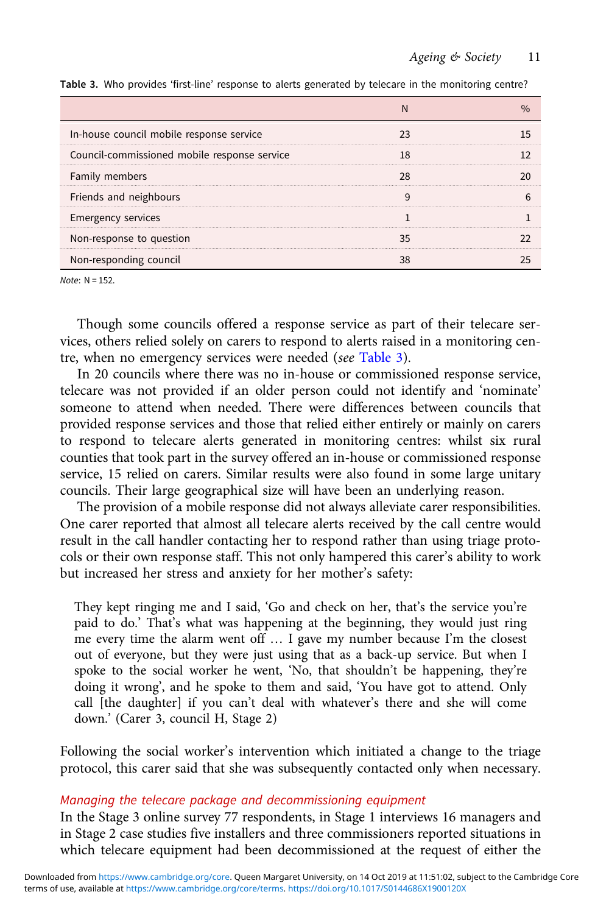| In-house council mobile response service     |  |
|----------------------------------------------|--|
| Council-commissioned mobile response service |  |
| Family members                               |  |
| Friends and neighbours                       |  |
| Emergency services                           |  |
| Non-response to question                     |  |
| Non-responding council                       |  |

Table 3. Who provides 'first-line' response to alerts generated by telecare in the monitoring centre?

Note: N = 152.

Though some councils offered a response service as part of their telecare services, others relied solely on carers to respond to alerts raised in a monitoring centre, when no emergency services were needed (see Table 3).

In 20 councils where there was no in-house or commissioned response service, telecare was not provided if an older person could not identify and 'nominate' someone to attend when needed. There were differences between councils that provided response services and those that relied either entirely or mainly on carers to respond to telecare alerts generated in monitoring centres: whilst six rural counties that took part in the survey offered an in-house or commissioned response service, 15 relied on carers. Similar results were also found in some large unitary councils. Their large geographical size will have been an underlying reason.

The provision of a mobile response did not always alleviate carer responsibilities. One carer reported that almost all telecare alerts received by the call centre would result in the call handler contacting her to respond rather than using triage protocols or their own response staff. This not only hampered this carer's ability to work but increased her stress and anxiety for her mother's safety:

They kept ringing me and I said, 'Go and check on her, that's the service you're paid to do.' That's what was happening at the beginning, they would just ring me every time the alarm went off … I gave my number because I'm the closest out of everyone, but they were just using that as a back-up service. But when I spoke to the social worker he went, 'No, that shouldn't be happening, they're doing it wrong', and he spoke to them and said, 'You have got to attend. Only call [the daughter] if you can't deal with whatever's there and she will come down.' (Carer 3, council H, Stage 2)

Following the social worker's intervention which initiated a change to the triage protocol, this carer said that she was subsequently contacted only when necessary.

## Managing the telecare package and decommissioning equipment

In the Stage 3 online survey 77 respondents, in Stage 1 interviews 16 managers and in Stage 2 case studies five installers and three commissioners reported situations in which telecare equipment had been decommissioned at the request of either the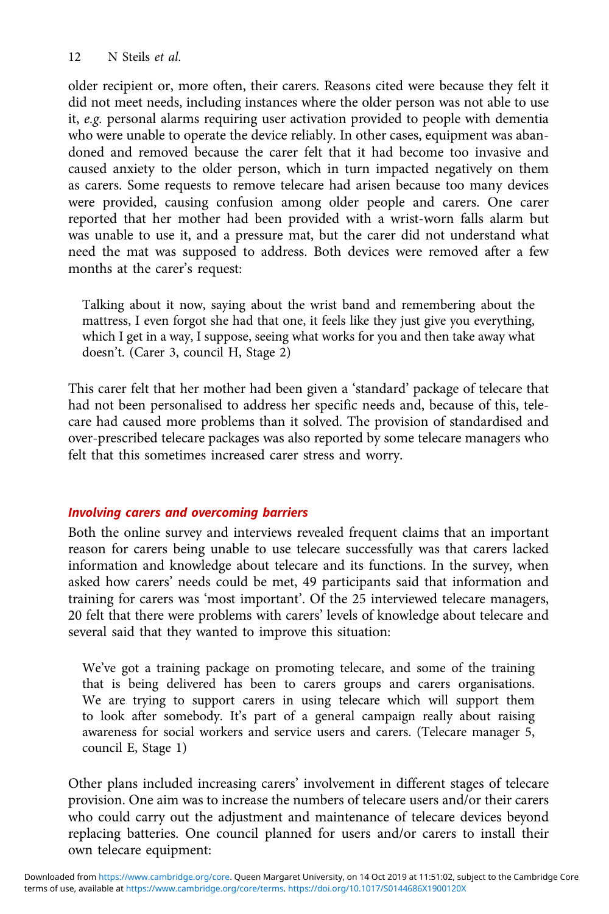older recipient or, more often, their carers. Reasons cited were because they felt it did not meet needs, including instances where the older person was not able to use it, e.g. personal alarms requiring user activation provided to people with dementia who were unable to operate the device reliably. In other cases, equipment was abandoned and removed because the carer felt that it had become too invasive and caused anxiety to the older person, which in turn impacted negatively on them as carers. Some requests to remove telecare had arisen because too many devices were provided, causing confusion among older people and carers. One carer reported that her mother had been provided with a wrist-worn falls alarm but was unable to use it, and a pressure mat, but the carer did not understand what need the mat was supposed to address. Both devices were removed after a few months at the carer's request:

Talking about it now, saying about the wrist band and remembering about the mattress, I even forgot she had that one, it feels like they just give you everything, which I get in a way, I suppose, seeing what works for you and then take away what doesn't. (Carer 3, council H, Stage 2)

This carer felt that her mother had been given a 'standard' package of telecare that had not been personalised to address her specific needs and, because of this, telecare had caused more problems than it solved. The provision of standardised and over-prescribed telecare packages was also reported by some telecare managers who felt that this sometimes increased carer stress and worry.

## Involving carers and overcoming barriers

Both the online survey and interviews revealed frequent claims that an important reason for carers being unable to use telecare successfully was that carers lacked information and knowledge about telecare and its functions. In the survey, when asked how carers' needs could be met, 49 participants said that information and training for carers was 'most important'. Of the 25 interviewed telecare managers, 20 felt that there were problems with carers' levels of knowledge about telecare and several said that they wanted to improve this situation:

We've got a training package on promoting telecare, and some of the training that is being delivered has been to carers groups and carers organisations. We are trying to support carers in using telecare which will support them to look after somebody. It's part of a general campaign really about raising awareness for social workers and service users and carers. (Telecare manager 5, council E, Stage 1)

Other plans included increasing carers' involvement in different stages of telecare provision. One aim was to increase the numbers of telecare users and/or their carers who could carry out the adjustment and maintenance of telecare devices beyond replacing batteries. One council planned for users and/or carers to install their own telecare equipment: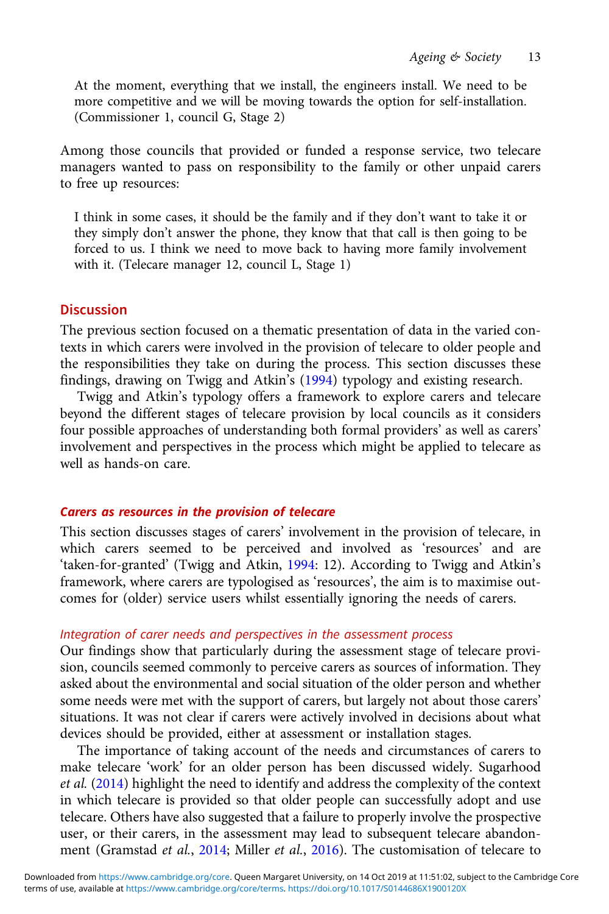At the moment, everything that we install, the engineers install. We need to be more competitive and we will be moving towards the option for self-installation. (Commissioner 1, council G, Stage 2)

Among those councils that provided or funded a response service, two telecare managers wanted to pass on responsibility to the family or other unpaid carers to free up resources:

I think in some cases, it should be the family and if they don't want to take it or they simply don't answer the phone, they know that that call is then going to be forced to us. I think we need to move back to having more family involvement with it. (Telecare manager 12, council L, Stage 1)

## **Discussion**

The previous section focused on a thematic presentation of data in the varied contexts in which carers were involved in the provision of telecare to older people and the responsibilities they take on during the process. This section discusses these findings, drawing on Twigg and Atkin's ([1994](#page-19-0)) typology and existing research.

Twigg and Atkin's typology offers a framework to explore carers and telecare beyond the different stages of telecare provision by local councils as it considers four possible approaches of understanding both formal providers' as well as carers' involvement and perspectives in the process which might be applied to telecare as well as hands-on care.

#### Carers as resources in the provision of telecare

This section discusses stages of carers' involvement in the provision of telecare, in which carers seemed to be perceived and involved as 'resources' and are 'taken-for-granted' (Twigg and Atkin, [1994:](#page-19-0) 12). According to Twigg and Atkin's framework, where carers are typologised as 'resources', the aim is to maximise outcomes for (older) service users whilst essentially ignoring the needs of carers.

#### Integration of carer needs and perspectives in the assessment process

Our findings show that particularly during the assessment stage of telecare provision, councils seemed commonly to perceive carers as sources of information. They asked about the environmental and social situation of the older person and whether some needs were met with the support of carers, but largely not about those carers' situations. It was not clear if carers were actively involved in decisions about what devices should be provided, either at assessment or installation stages.

The importance of taking account of the needs and circumstances of carers to make telecare 'work' for an older person has been discussed widely. Sugarhood et al. ([2014\)](#page-19-0) highlight the need to identify and address the complexity of the context in which telecare is provided so that older people can successfully adopt and use telecare. Others have also suggested that a failure to properly involve the prospective user, or their carers, in the assessment may lead to subsequent telecare abandonment (Gramstad et al., [2014](#page-17-0); Miller et al., [2016\)](#page-18-0). The customisation of telecare to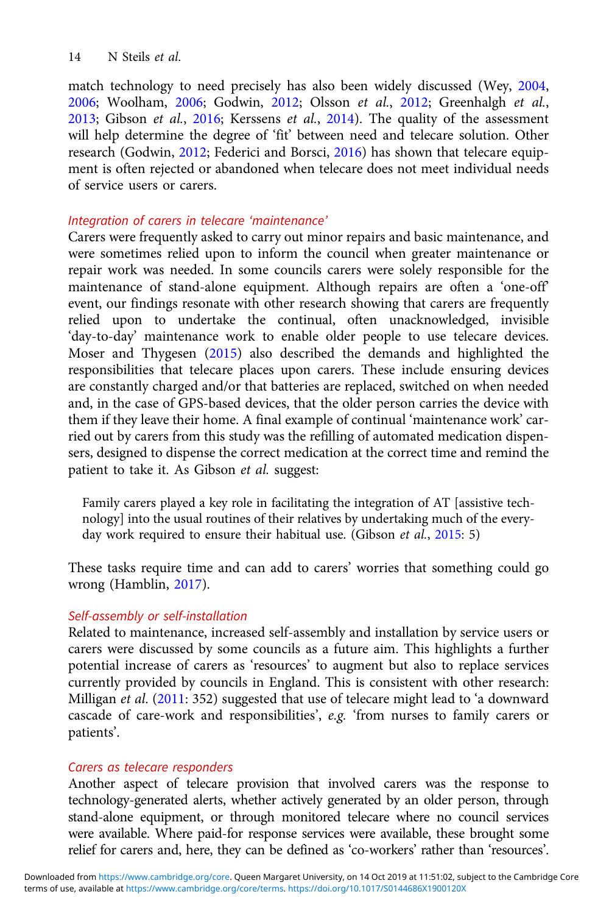match technology to need precisely has also been widely discussed (Wey, [2004](#page-19-0), [2006;](#page-19-0) Woolham, [2006;](#page-19-0) Godwin, [2012;](#page-17-0) Olsson et al., [2012;](#page-18-0) Greenhalgh et al., [2013;](#page-17-0) Gibson et al., [2016](#page-17-0); Kerssens et al., [2014\)](#page-18-0). The quality of the assessment will help determine the degree of 'fit' between need and telecare solution. Other research (Godwin, [2012](#page-17-0); Federici and Borsci, [2016\)](#page-17-0) has shown that telecare equipment is often rejected or abandoned when telecare does not meet individual needs of service users or carers.

### Integration of carers in telecare 'maintenance'

Carers were frequently asked to carry out minor repairs and basic maintenance, and were sometimes relied upon to inform the council when greater maintenance or repair work was needed. In some councils carers were solely responsible for the maintenance of stand-alone equipment. Although repairs are often a 'one-off' event, our findings resonate with other research showing that carers are frequently relied upon to undertake the continual, often unacknowledged, invisible 'day-to-day' maintenance work to enable older people to use telecare devices. Moser and Thygesen [\(2015\)](#page-18-0) also described the demands and highlighted the responsibilities that telecare places upon carers. These include ensuring devices are constantly charged and/or that batteries are replaced, switched on when needed and, in the case of GPS-based devices, that the older person carries the device with them if they leave their home. A final example of continual 'maintenance work' carried out by carers from this study was the refilling of automated medication dispensers, designed to dispense the correct medication at the correct time and remind the patient to take it. As Gibson et al. suggest:

Family carers played a key role in facilitating the integration of AT [assistive technology] into the usual routines of their relatives by undertaking much of the every-day work required to ensure their habitual use. (Gibson et al., [2015](#page-17-0): 5)

These tasks require time and can add to carers' worries that something could go wrong (Hamblin, [2017\)](#page-18-0).

#### Self-assembly or self-installation

Related to maintenance, increased self-assembly and installation by service users or carers were discussed by some councils as a future aim. This highlights a further potential increase of carers as 'resources' to augment but also to replace services currently provided by councils in England. This is consistent with other research: Milligan et al. [\(2011:](#page-18-0) 352) suggested that use of telecare might lead to 'a downward cascade of care-work and responsibilities', e.g. 'from nurses to family carers or patients'.

## Carers as telecare responders

Another aspect of telecare provision that involved carers was the response to technology-generated alerts, whether actively generated by an older person, through stand-alone equipment, or through monitored telecare where no council services were available. Where paid-for response services were available, these brought some relief for carers and, here, they can be defined as 'co-workers' rather than 'resources'.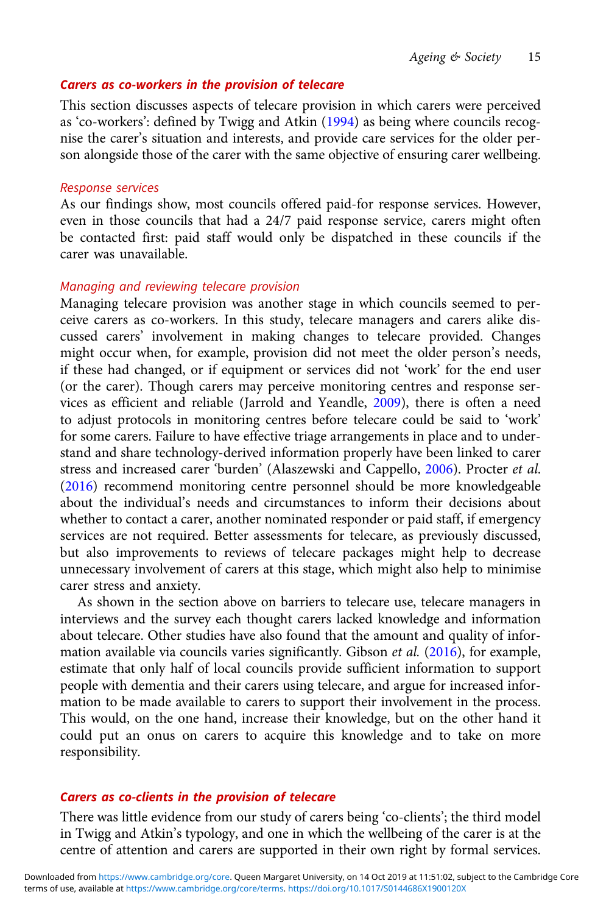#### Carers as co-workers in the provision of telecare

This section discusses aspects of telecare provision in which carers were perceived as 'co-workers': defined by Twigg and Atkin ([1994\)](#page-19-0) as being where councils recognise the carer's situation and interests, and provide care services for the older person alongside those of the carer with the same objective of ensuring carer wellbeing.

#### Response services

As our findings show, most councils offered paid-for response services. However, even in those councils that had a 24/7 paid response service, carers might often be contacted first: paid staff would only be dispatched in these councils if the carer was unavailable.

#### Managing and reviewing telecare provision

Managing telecare provision was another stage in which councils seemed to perceive carers as co-workers. In this study, telecare managers and carers alike discussed carers' involvement in making changes to telecare provided. Changes might occur when, for example, provision did not meet the older person's needs, if these had changed, or if equipment or services did not 'work' for the end user (or the carer). Though carers may perceive monitoring centres and response services as efficient and reliable (Jarrold and Yeandle, [2009\)](#page-18-0), there is often a need to adjust protocols in monitoring centres before telecare could be said to 'work' for some carers. Failure to have effective triage arrangements in place and to understand and share technology-derived information properly have been linked to carer stress and increased carer 'burden' (Alaszewski and Cappello, [2006](#page-17-0)). Procter et al. [\(2016\)](#page-18-0) recommend monitoring centre personnel should be more knowledgeable about the individual's needs and circumstances to inform their decisions about whether to contact a carer, another nominated responder or paid staff, if emergency services are not required. Better assessments for telecare, as previously discussed, but also improvements to reviews of telecare packages might help to decrease unnecessary involvement of carers at this stage, which might also help to minimise carer stress and anxiety.

As shown in the section above on barriers to telecare use, telecare managers in interviews and the survey each thought carers lacked knowledge and information about telecare. Other studies have also found that the amount and quality of information available via councils varies significantly. Gibson et al. ([2016](#page-17-0)), for example, estimate that only half of local councils provide sufficient information to support people with dementia and their carers using telecare, and argue for increased information to be made available to carers to support their involvement in the process. This would, on the one hand, increase their knowledge, but on the other hand it could put an onus on carers to acquire this knowledge and to take on more responsibility.

### Carers as co-clients in the provision of telecare

There was little evidence from our study of carers being 'co-clients'; the third model in Twigg and Atkin's typology, and one in which the wellbeing of the carer is at the centre of attention and carers are supported in their own right by formal services.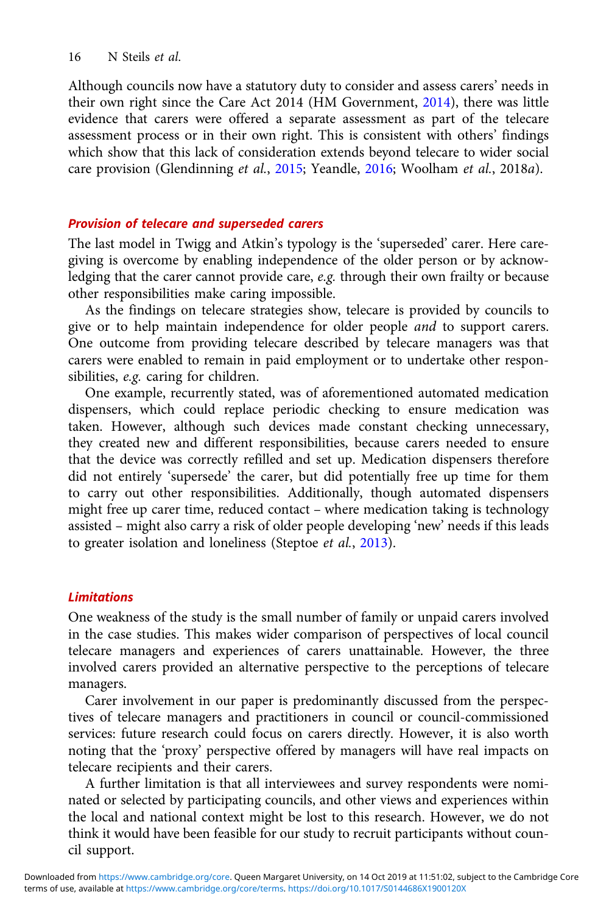Although councils now have a statutory duty to consider and assess carers' needs in their own right since the Care Act 2014 (HM Government, [2014\)](#page-18-0), there was little evidence that carers were offered a separate assessment as part of the telecare assessment process or in their own right. This is consistent with others' findings which show that this lack of consideration extends beyond telecare to wider social care provision (Glendinning et al., [2015](#page-17-0); Yeandle, [2016;](#page-19-0) Woolham et al., 2018a).

#### Provision of telecare and superseded carers

The last model in Twigg and Atkin's typology is the 'superseded' carer. Here caregiving is overcome by enabling independence of the older person or by acknowledging that the carer cannot provide care, e.g. through their own frailty or because other responsibilities make caring impossible.

As the findings on telecare strategies show, telecare is provided by councils to give or to help maintain independence for older people and to support carers. One outcome from providing telecare described by telecare managers was that carers were enabled to remain in paid employment or to undertake other responsibilities, e.g. caring for children.

One example, recurrently stated, was of aforementioned automated medication dispensers, which could replace periodic checking to ensure medication was taken. However, although such devices made constant checking unnecessary, they created new and different responsibilities, because carers needed to ensure that the device was correctly refilled and set up. Medication dispensers therefore did not entirely 'supersede' the carer, but did potentially free up time for them to carry out other responsibilities. Additionally, though automated dispensers might free up carer time, reduced contact – where medication taking is technology assisted – might also carry a risk of older people developing 'new' needs if this leads to greater isolation and loneliness (Steptoe et al., [2013](#page-18-0)).

#### Limitations

One weakness of the study is the small number of family or unpaid carers involved in the case studies. This makes wider comparison of perspectives of local council telecare managers and experiences of carers unattainable. However, the three involved carers provided an alternative perspective to the perceptions of telecare managers.

Carer involvement in our paper is predominantly discussed from the perspectives of telecare managers and practitioners in council or council-commissioned services: future research could focus on carers directly. However, it is also worth noting that the 'proxy' perspective offered by managers will have real impacts on telecare recipients and their carers.

A further limitation is that all interviewees and survey respondents were nominated or selected by participating councils, and other views and experiences within the local and national context might be lost to this research. However, we do not think it would have been feasible for our study to recruit participants without council support.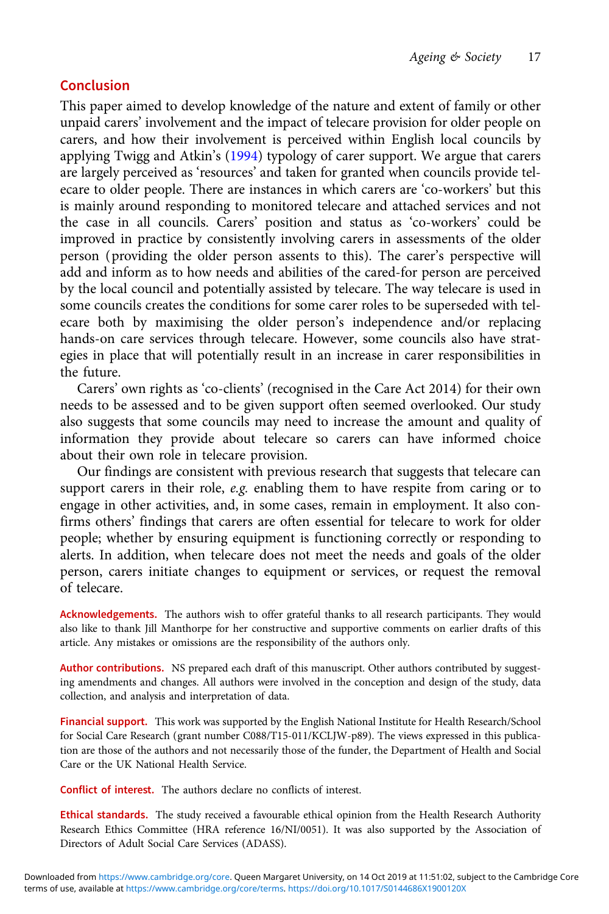# Conclusion

This paper aimed to develop knowledge of the nature and extent of family or other unpaid carers' involvement and the impact of telecare provision for older people on carers, and how their involvement is perceived within English local councils by applying Twigg and Atkin's ([1994](#page-19-0)) typology of carer support. We argue that carers are largely perceived as 'resources' and taken for granted when councils provide telecare to older people. There are instances in which carers are 'co-workers' but this is mainly around responding to monitored telecare and attached services and not the case in all councils. Carers' position and status as 'co-workers' could be improved in practice by consistently involving carers in assessments of the older person (providing the older person assents to this). The carer's perspective will add and inform as to how needs and abilities of the cared-for person are perceived by the local council and potentially assisted by telecare. The way telecare is used in some councils creates the conditions for some carer roles to be superseded with telecare both by maximising the older person's independence and/or replacing hands-on care services through telecare. However, some councils also have strategies in place that will potentially result in an increase in carer responsibilities in the future.

Carers' own rights as 'co-clients' (recognised in the Care Act 2014) for their own needs to be assessed and to be given support often seemed overlooked. Our study also suggests that some councils may need to increase the amount and quality of information they provide about telecare so carers can have informed choice about their own role in telecare provision.

Our findings are consistent with previous research that suggests that telecare can support carers in their role, e.g. enabling them to have respite from caring or to engage in other activities, and, in some cases, remain in employment. It also confirms others' findings that carers are often essential for telecare to work for older people; whether by ensuring equipment is functioning correctly or responding to alerts. In addition, when telecare does not meet the needs and goals of the older person, carers initiate changes to equipment or services, or request the removal of telecare.

Acknowledgements. The authors wish to offer grateful thanks to all research participants. They would also like to thank Jill Manthorpe for her constructive and supportive comments on earlier drafts of this article. Any mistakes or omissions are the responsibility of the authors only.

Author contributions. NS prepared each draft of this manuscript. Other authors contributed by suggesting amendments and changes. All authors were involved in the conception and design of the study, data collection, and analysis and interpretation of data.

Financial support. This work was supported by the English National Institute for Health Research/School for Social Care Research (grant number C088/T15-011/KCLJW-p89). The views expressed in this publication are those of the authors and not necessarily those of the funder, the Department of Health and Social Care or the UK National Health Service.

Conflict of interest. The authors declare no conflicts of interest.

Ethical standards. The study received a favourable ethical opinion from the Health Research Authority Research Ethics Committee (HRA reference 16/NI/0051). It was also supported by the Association of Directors of Adult Social Care Services (ADASS).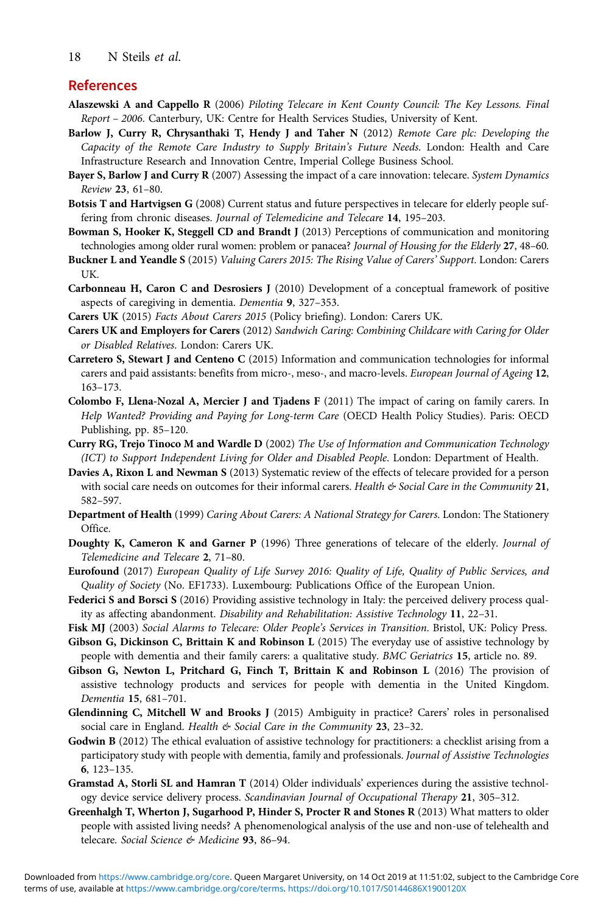## <span id="page-17-0"></span>References

- Alaszewski A and Cappello R (2006) Piloting Telecare in Kent County Council: The Key Lessons. Final Report – 2006. Canterbury, UK: Centre for Health Services Studies, University of Kent.
- Barlow J, Curry R, Chrysanthaki T, Hendy J and Taher N (2012) Remote Care plc: Developing the Capacity of the Remote Care Industry to Supply Britain's Future Needs. London: Health and Care Infrastructure Research and Innovation Centre, Imperial College Business School.
- Bayer S, Barlow J and Curry R (2007) Assessing the impact of a care innovation: telecare. System Dynamics Review 23, 61–80.
- Botsis T and Hartvigsen G (2008) Current status and future perspectives in telecare for elderly people suffering from chronic diseases. Journal of Telemedicine and Telecare 14, 195-203.
- Bowman S, Hooker K, Steggell CD and Brandt J (2013) Perceptions of communication and monitoring technologies among older rural women: problem or panacea? Journal of Housing for the Elderly 27, 48–60.
- Buckner L and Yeandle S (2015) Valuing Carers 2015: The Rising Value of Carers' Support. London: Carers UK.
- Carbonneau H, Caron C and Desrosiers J (2010) Development of a conceptual framework of positive aspects of caregiving in dementia. Dementia 9, 327–353.
- Carers UK (2015) Facts About Carers 2015 (Policy briefing). London: Carers UK.
- Carers UK and Employers for Carers (2012) Sandwich Caring: Combining Childcare with Caring for Older or Disabled Relatives. London: Carers UK.
- Carretero S, Stewart J and Centeno C (2015) Information and communication technologies for informal carers and paid assistants: benefits from micro-, meso-, and macro-levels. European Journal of Ageing 12, 163–173.
- Colombo F, Llena-Nozal A, Mercier J and Tjadens F (2011) The impact of caring on family carers. In Help Wanted? Providing and Paying for Long-term Care (OECD Health Policy Studies). Paris: OECD Publishing, pp. 85–120.
- Curry RG, Trejo Tinoco M and Wardle D (2002) The Use of Information and Communication Technology (ICT) to Support Independent Living for Older and Disabled People. London: Department of Health.
- Davies A, Rixon L and Newman S (2013) Systematic review of the effects of telecare provided for a person with social care needs on outcomes for their informal carers. Health  $\mathfrak{G}\text{Scial Care in the Community }$  21, 582–597.
- Department of Health (1999) Caring About Carers: A National Strategy for Carers. London: The Stationery Office.
- Doughty K, Cameron K and Garner P (1996) Three generations of telecare of the elderly. Journal of Telemedicine and Telecare 2, 71–80.
- Eurofound (2017) European Quality of Life Survey 2016: Quality of Life, Quality of Public Services, and Quality of Society (No. EF1733). Luxembourg: Publications Office of the European Union.
- Federici S and Borsci S (2016) Providing assistive technology in Italy: the perceived delivery process quality as affecting abandonment. Disability and Rehabilitation: Assistive Technology 11, 22-31.
- Fisk MJ (2003) Social Alarms to Telecare: Older People's Services in Transition. Bristol, UK: Policy Press.
- Gibson G, Dickinson C, Brittain K and Robinson L (2015) The everyday use of assistive technology by people with dementia and their family carers: a qualitative study. BMC Geriatrics 15, article no. 89.
- Gibson G, Newton L, Pritchard G, Finch T, Brittain K and Robinson L (2016) The provision of assistive technology products and services for people with dementia in the United Kingdom. Dementia 15, 681–701.
- Glendinning C, Mitchell W and Brooks J (2015) Ambiguity in practice? Carers' roles in personalised social care in England. Health & Social Care in the Community 23, 23-32.
- Godwin B (2012) The ethical evaluation of assistive technology for practitioners: a checklist arising from a participatory study with people with dementia, family and professionals. Journal of Assistive Technologies 6, 123–135.
- Gramstad A, Storli SL and Hamran T (2014) Older individuals' experiences during the assistive technology device service delivery process. Scandinavian Journal of Occupational Therapy 21, 305–312.
- Greenhalgh T, Wherton J, Sugarhood P, Hinder S, Procter R and Stones R (2013) What matters to older people with assisted living needs? A phenomenological analysis of the use and non-use of telehealth and telecare. Social Science & Medicine 93, 86-94.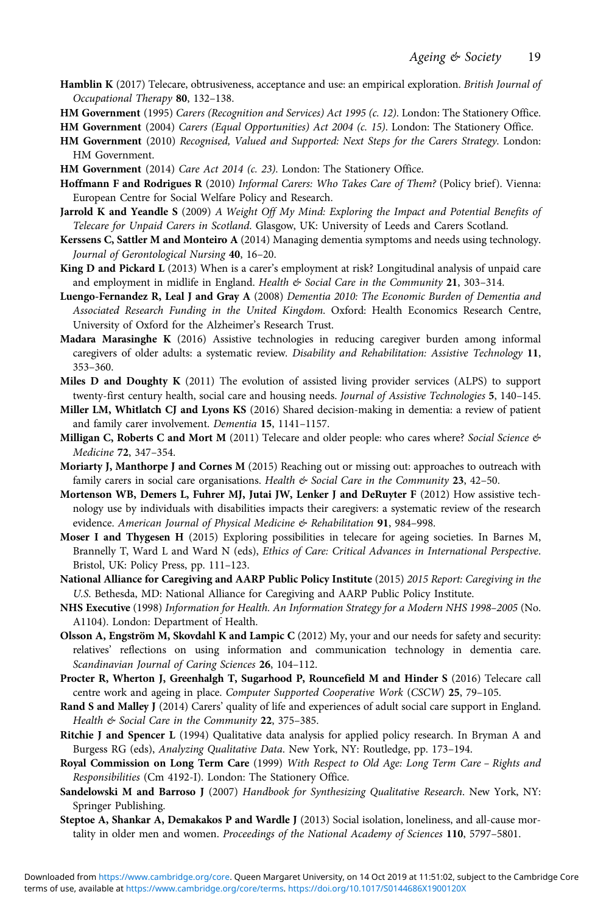- <span id="page-18-0"></span>Hamblin K (2017) Telecare, obtrusiveness, acceptance and use: an empirical exploration. British Journal of Occupational Therapy 80, 132–138.
- HM Government (1995) Carers (Recognition and Services) Act 1995 (c. 12). London: The Stationery Office.

HM Government (2004) Carers (Equal Opportunities) Act 2004 (c. 15). London: The Stationery Office.

- HM Government (2010) Recognised, Valued and Supported: Next Steps for the Carers Strategy. London: HM Government.
- HM Government (2014) Care Act 2014 (c. 23). London: The Stationery Office.
- Hoffmann F and Rodrigues R (2010) Informal Carers: Who Takes Care of Them? (Policy brief). Vienna: European Centre for Social Welfare Policy and Research.
- Jarrold K and Yeandle S (2009) A Weight Off My Mind: Exploring the Impact and Potential Benefits of Telecare for Unpaid Carers in Scotland. Glasgow, UK: University of Leeds and Carers Scotland.
- Kerssens C, Sattler M and Monteiro A (2014) Managing dementia symptoms and needs using technology. Journal of Gerontological Nursing 40, 16–20.
- King D and Pickard L (2013) When is a carer's employment at risk? Longitudinal analysis of unpaid care and employment in midlife in England. Health  $\&$  Social Care in the Community 21, 303-314.
- Luengo-Fernandez R, Leal J and Gray A (2008) Dementia 2010: The Economic Burden of Dementia and Associated Research Funding in the United Kingdom. Oxford: Health Economics Research Centre, University of Oxford for the Alzheimer's Research Trust.
- Madara Marasinghe K (2016) Assistive technologies in reducing caregiver burden among informal caregivers of older adults: a systematic review. Disability and Rehabilitation: Assistive Technology 11, 353–360.
- Miles D and Doughty K (2011) The evolution of assisted living provider services (ALPS) to support twenty-first century health, social care and housing needs. Journal of Assistive Technologies 5, 140–145.
- Miller LM, Whitlatch CJ and Lyons KS (2016) Shared decision-making in dementia: a review of patient and family carer involvement. Dementia 15, 1141–1157.
- Milligan C, Roberts C and Mort M (2011) Telecare and older people: who cares where? Social Science  $\mathfrak{G}$ Medicine 72, 347–354.
- Moriarty J, Manthorpe J and Cornes M (2015) Reaching out or missing out: approaches to outreach with family carers in social care organisations. Health & Social Care in the Community 23, 42-50.
- Mortenson WB, Demers L, Fuhrer MJ, Jutai JW, Lenker J and DeRuyter F (2012) How assistive technology use by individuals with disabilities impacts their caregivers: a systematic review of the research evidence. American Journal of Physical Medicine & Rehabilitation 91, 984-998.
- Moser I and Thygesen H (2015) Exploring possibilities in telecare for ageing societies. In Barnes M, Brannelly T, Ward L and Ward N (eds), Ethics of Care: Critical Advances in International Perspective. Bristol, UK: Policy Press, pp. 111–123.
- National Alliance for Caregiving and AARP Public Policy Institute (2015) 2015 Report: Caregiving in the U.S. Bethesda, MD: National Alliance for Caregiving and AARP Public Policy Institute.
- NHS Executive (1998) Information for Health. An Information Strategy for a Modern NHS 1998–2005 (No. A1104). London: Department of Health.
- Olsson A, Engström M, Skovdahl K and Lampic C (2012) My, your and our needs for safety and security: relatives' reflections on using information and communication technology in dementia care. Scandinavian Journal of Caring Sciences 26, 104–112.
- Procter R, Wherton J, Greenhalgh T, Sugarhood P, Rouncefield M and Hinder S (2016) Telecare call centre work and ageing in place. Computer Supported Cooperative Work (CSCW) 25, 79-105.
- Rand S and Malley J (2014) Carers' quality of life and experiences of adult social care support in England. Health & Social Care in the Community 22, 375-385.
- Ritchie J and Spencer L (1994) Qualitative data analysis for applied policy research. In Bryman A and Burgess RG (eds), Analyzing Qualitative Data. New York, NY: Routledge, pp. 173–194.
- Royal Commission on Long Term Care (1999) With Respect to Old Age: Long Term Care Rights and Responsibilities (Cm 4192-I). London: The Stationery Office.
- Sandelowski M and Barroso J (2007) Handbook for Synthesizing Qualitative Research. New York, NY: Springer Publishing.
- Steptoe A, Shankar A, Demakakos P and Wardle J (2013) Social isolation, loneliness, and all-cause mortality in older men and women. Proceedings of the National Academy of Sciences 110, 5797-5801.